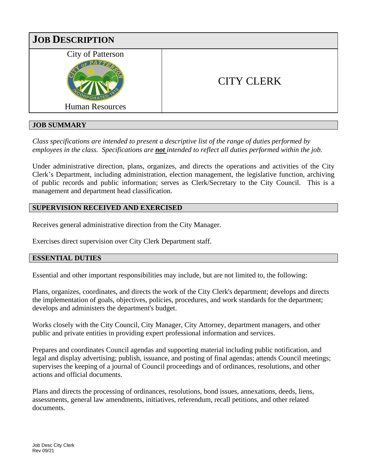

# **JOB SUMMARY**

*Class specifications are intended to present a descriptive list of the range of duties performed by employees in the class. Specifications are not intended to reflect all duties performed within the job.*

Under administrative direction, plans, organizes, and directs the operations and activities of the City Clerk's Department, including administration, election management, the legislative function, archiving of public records and public information; serves as Clerk/Secretary to the City Council. This is a management and department head classification.

### **SUPERVISION RECEIVED AND EXERCISED**

Receives general administrative direction from the City Manager.

Exercises direct supervision over City Clerk Department staff.

### **ESSENTIAL DUTIES**

Essential and other important responsibilities may include, but are not limited to, the following:

Plans, organizes, coordinates, and directs the work of the City Clerk's department; develops and directs the implementation of goals, objectives, policies, procedures, and work standards for the department; develops and administers the department's budget.

Works closely with the City Council, City Manager, City Attorney, department managers, and other public and private entities in providing expert professional information and services.

Prepares and coordinates Council agendas and supporting material including public notification, and legal and display advertising; publish, issuance, and posting of final agendas; attends Council meetings; supervises the keeping of a journal of Council proceedings and of ordinances, resolutions, and other actions and official documents.

Plans and directs the processing of ordinances, resolutions, bond issues, annexations, deeds, liens, assessments, general law amendments, initiatives, referendum, recall petitions, and other related documents.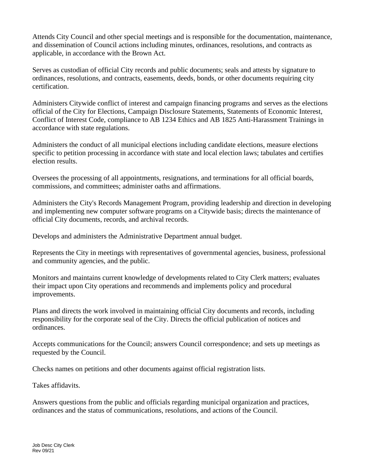Attends City Council and other special meetings and is responsible for the documentation, maintenance, and dissemination of Council actions including minutes, ordinances, resolutions, and contracts as applicable, in accordance with the Brown Act.

Serves as custodian of official City records and public documents; seals and attests by signature to ordinances, resolutions, and contracts, easements, deeds, bonds, or other documents requiring city certification.

Administers Citywide conflict of interest and campaign financing programs and serves as the elections official of the City for Elections, Campaign Disclosure Statements, Statements of Economic Interest, Conflict of Interest Code, compliance to AB 1234 Ethics and AB 1825 Anti-Harassment Trainings in accordance with state regulations.

Administers the conduct of all municipal elections including candidate elections, measure elections specific to petition processing in accordance with state and local election laws; tabulates and certifies election results.

Oversees the processing of all appointments, resignations, and terminations for all official boards, commissions, and committees; administer oaths and affirmations.

Administers the City's Records Management Program, providing leadership and direction in developing and implementing new computer software programs on a Citywide basis; directs the maintenance of official City documents, records, and archival records.

Develops and administers the Administrative Department annual budget.

Represents the City in meetings with representatives of governmental agencies, business, professional and community agencies, and the public.

Monitors and maintains current knowledge of developments related to City Clerk matters; evaluates their impact upon City operations and recommends and implements policy and procedural improvements.

Plans and directs the work involved in maintaining official City documents and records, including responsibility for the corporate seal of the City. Directs the official publication of notices and ordinances.

Accepts communications for the Council; answers Council correspondence; and sets up meetings as requested by the Council.

Checks names on petitions and other documents against official registration lists.

Takes affidavits.

Answers questions from the public and officials regarding municipal organization and practices, ordinances and the status of communications, resolutions, and actions of the Council.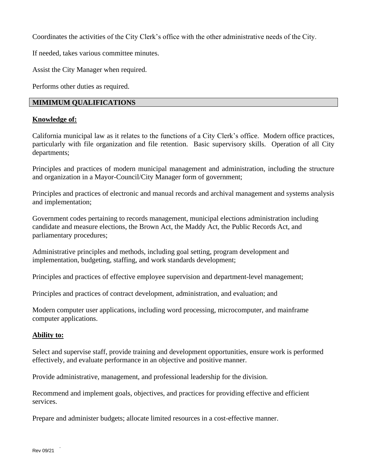Coordinates the activities of the City Clerk's office with the other administrative needs of the City.

If needed, takes various committee minutes.

Assist the City Manager when required.

Performs other duties as required.

### **MIMIMUM QUALIFICATIONS**

#### **Knowledge of:**

California municipal law as it relates to the functions of a City Clerk's office. Modern office practices, particularly with file organization and file retention. Basic supervisory skills. Operation of all City departments;

Principles and practices of modern municipal management and administration, including the structure and organization in a Mayor-Council/City Manager form of government;

Principles and practices of electronic and manual records and archival management and systems analysis and implementation;

Government codes pertaining to records management, municipal elections administration including candidate and measure elections, the Brown Act, the Maddy Act, the Public Records Act, and parliamentary procedures;

Administrative principles and methods, including goal setting, program development and implementation, budgeting, staffing, and work standards development;

Principles and practices of effective employee supervision and department-level management;

Principles and practices of contract development, administration, and evaluation; and

Modern computer user applications, including word processing, microcomputer, and mainframe computer applications.

# **Ability to:**

Select and supervise staff, provide training and development opportunities, ensure work is performed effectively, and evaluate performance in an objective and positive manner.

Provide administrative, management, and professional leadership for the division.

Recommend and implement goals, objectives, and practices for providing effective and efficient services.

Prepare and administer budgets; allocate limited resources in a cost-effective manner.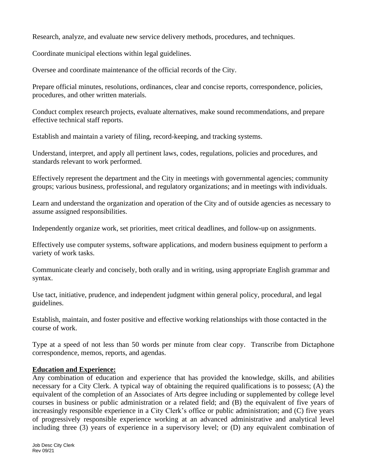Research, analyze, and evaluate new service delivery methods, procedures, and techniques.

Coordinate municipal elections within legal guidelines.

Oversee and coordinate maintenance of the official records of the City.

Prepare official minutes, resolutions, ordinances, clear and concise reports, correspondence, policies, procedures, and other written materials.

Conduct complex research projects, evaluate alternatives, make sound recommendations, and prepare effective technical staff reports.

Establish and maintain a variety of filing, record-keeping, and tracking systems.

Understand, interpret, and apply all pertinent laws, codes, regulations, policies and procedures, and standards relevant to work performed.

Effectively represent the department and the City in meetings with governmental agencies; community groups; various business, professional, and regulatory organizations; and in meetings with individuals.

Learn and understand the organization and operation of the City and of outside agencies as necessary to assume assigned responsibilities.

Independently organize work, set priorities, meet critical deadlines, and follow-up on assignments.

Effectively use computer systems, software applications, and modern business equipment to perform a variety of work tasks.

Communicate clearly and concisely, both orally and in writing, using appropriate English grammar and syntax.

Use tact, initiative, prudence, and independent judgment within general policy, procedural, and legal guidelines.

Establish, maintain, and foster positive and effective working relationships with those contacted in the course of work.

Type at a speed of not less than 50 words per minute from clear copy. Transcribe from Dictaphone correspondence, memos, reports, and agendas.

### **Education and Experience:**

Any combination of education and experience that has provided the knowledge, skills, and abilities necessary for a City Clerk. A typical way of obtaining the required qualifications is to possess; (A) the equivalent of the completion of an Associates of Arts degree including or supplemented by college level courses in business or public administration or a related field; and (B) the equivalent of five years of increasingly responsible experience in a City Clerk's office or public administration; and (C) five years of progressively responsible experience working at an advanced administrative and analytical level including three (3) years of experience in a supervisory level; or (D) any equivalent combination of